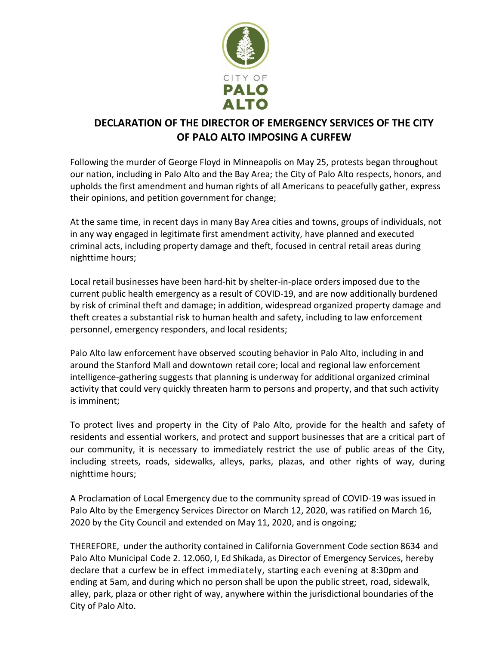

## **DECLARATION OF THE DIRECTOR OF EMERGENCY SERVICES OF THE CITY OF PALO ALTO IMPOSING A CURFEW**

Following the murder of George Floyd in Minneapolis on May 25, protests began throughout our nation, including in Palo Alto and the Bay Area; the City of Palo Alto respects, honors, and upholds the first amendment and human rights of all Americans to peacefully gather, express their opinions, and petition government for change;

At the same time, in recent days in many Bay Area cities and towns, groups of individuals, not in any way engaged in legitimate first amendment activity, have planned and executed criminal acts, including property damage and theft, focused in central retail areas during nighttime hours;

Local retail businesses have been hard-hit by shelter-in-place orders imposed due to the current public health emergency as a result of COVID-19, and are now additionally burdened by risk of criminal theft and damage; in addition, widespread organized property damage and theft creates a substantial risk to human health and safety, including to law enforcement personnel, emergency responders, and local residents;

Palo Alto law enforcement have observed scouting behavior in Palo Alto, including in and around the Stanford Mall and downtown retail core; local and regional law enforcement intelligence-gathering suggests that planning is underway for additional organized criminal activity that could very quickly threaten harm to persons and property, and that such activity is imminent;

To protect lives and property in the City of Palo Alto, provide for the health and safety of residents and essential workers, and protect and support businesses that are a critical part of our community, it is necessary to immediately restrict the use of public areas of the City, including streets, roads, sidewalks, alleys, parks, plazas, and other rights of way, during nighttime hours;

A Proclamation of Local Emergency due to the community spread of COVID-19 was issued in Palo Alto by the Emergency Services Director on March 12, 2020, was ratified on March 16, 2020 by the City Council and extended on May 11, 2020, and is ongoing;

THEREFORE, under the authority contained in California Government Code section 8634 and Palo Alto Municipal Code 2. 12.060, I, Ed Shikada, as Director of Emergency Services, hereby declare that a curfew be in effect immediately, starting each evening at 8:30pm and ending at 5am, and during which no person shall be upon the public street, road, sidewalk, alley, park, plaza or other right of way, anywhere within the jurisdictional boundaries of the City of Palo Alto.